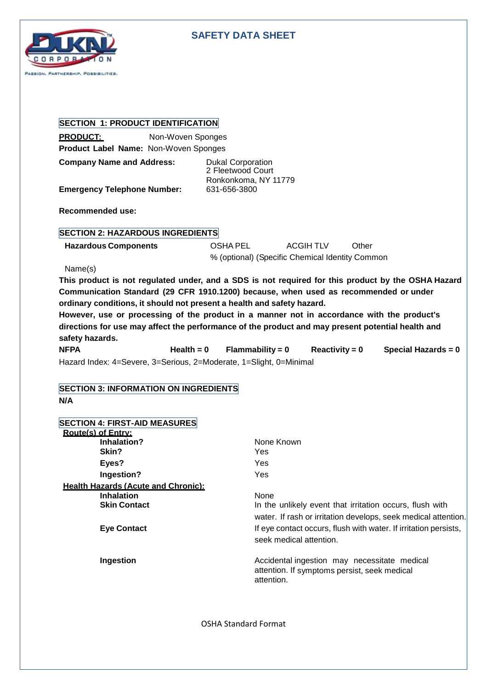

# **SAFETY DATA SHEET**

#### **SECTION 1: PRODUCT IDENTIFICATION**

**PRODUCT:** Non-Woven Sponges **Product Label Name:** Non-Woven Sponges

| <b>Company Name and Address:</b>   | <b>Dukal Corporation</b><br>2 Fleetwood Court |
|------------------------------------|-----------------------------------------------|
|                                    | Ronkonkoma, NY 11779                          |
| <b>Emergency Telephone Number:</b> | 631-656-3800                                  |

**Recommended use:**

## **SECTION 2: HAZARDOUS INGREDIENTS**

| <b>Hazardous Components</b> | OSHA PEL                                        | <b>ACGIH TLV</b> | Other |
|-----------------------------|-------------------------------------------------|------------------|-------|
|                             | % (optional) (Specific Chemical Identity Common |                  |       |

Name(s)

This product is not regulated under, and a SDS is not required for this product by the OSHA Hazard **Communication Standard (29 CFR 1910.1200) because, when used as recommended or under ordinary conditions, it should not present a health and safety hazard.**

**However, use or processing of the product in a manner not in accordance with the product's directions for use may affect the performance of the product and may present potential health and safety hazards.**

**NFPA Health = 0 Flammability = 0 Reactivity = 0 Special Hazards = 0** Hazard Index: 4=Severe, 3=Serious, 2=Moderate, 1=Slight, 0=Minimal

## **SECTION 3: INFORMATION ON INGREDIENTS N/A**

| <b>SECTION 4: FIRST-AID MEASURES</b>       |                                                                                                                            |
|--------------------------------------------|----------------------------------------------------------------------------------------------------------------------------|
| <b>Route(s) of Entry:</b>                  |                                                                                                                            |
| Inhalation?                                | None Known                                                                                                                 |
| Skin?                                      | Yes                                                                                                                        |
| Eyes?                                      | Yes                                                                                                                        |
| Ingestion?                                 | Yes                                                                                                                        |
| <b>Health Hazards (Acute and Chronic):</b> |                                                                                                                            |
| <b>Inhalation</b>                          | <b>None</b>                                                                                                                |
| <b>Skin Contact</b>                        | In the unlikely event that irritation occurs, flush with<br>water. If rash or irritation develops, seek medical attention. |
| <b>Eye Contact</b>                         | If eye contact occurs, flush with water. If irritation persists,<br>seek medical attention.                                |
| Ingestion                                  | Accidental ingestion may necessitate medical<br>attention. If symptoms persist, seek medical<br>attention.                 |

OSHA Standard Format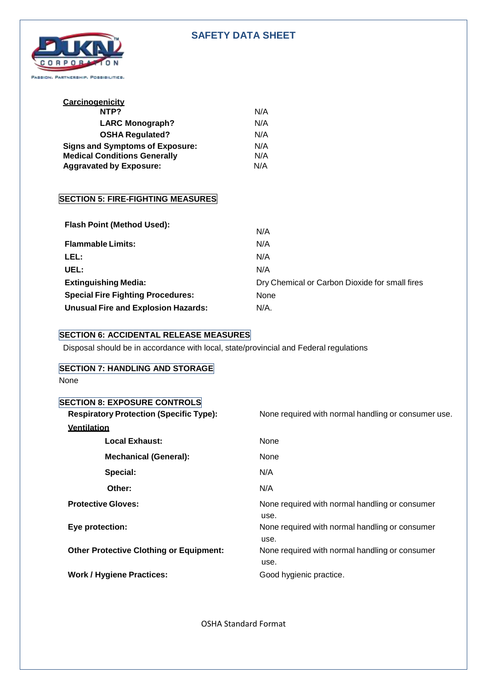## **SAFETY DATA SHEET**



| Carcinogenicity                                                               |                                                |
|-------------------------------------------------------------------------------|------------------------------------------------|
| NTP?                                                                          | N/A                                            |
| <b>LARC Monograph?</b>                                                        | N/A                                            |
| <b>OSHA Regulated?</b>                                                        | N/A                                            |
| <b>Signs and Symptoms of Exposure:</b>                                        | N/A                                            |
| <b>Medical Conditions Generally</b>                                           | N/A                                            |
| <b>Aggravated by Exposure:</b>                                                | N/A                                            |
| <b>SECTION 5: FIRE-FIGHTING MEASURES</b><br><b>Flash Point (Method Used):</b> |                                                |
|                                                                               | N/A                                            |
| <b>Flammable Limits:</b>                                                      | N/A                                            |
| LEL:                                                                          | N/A                                            |
| UEL:                                                                          | N/A                                            |
| <b>Extinguishing Media:</b>                                                   | Dry Chemical or Carbon Dioxide for small fires |
| <b>Special Fire Fighting Procedures:</b>                                      | None                                           |
| <b>Unusual Fire and Explosion Hazards:</b>                                    | N/A.                                           |

## **SECTION 6: ACCIDENTAL RELEASE MEASURES**

Disposal should be in accordance with local, state/provincial and Federal regulations

# **SECTION 7: HANDLING AND STORAGE**

None

# **SECTION 8: EXPOSURE CONTROLS**

| <b>Respiratory Protection (Specific Type):</b> | None required with normal handling or consumer use.    |
|------------------------------------------------|--------------------------------------------------------|
| <b>Ventilation</b>                             |                                                        |
| <b>Local Exhaust:</b>                          | None                                                   |
| <b>Mechanical (General):</b>                   | None                                                   |
| Special:                                       | N/A                                                    |
| Other:                                         | N/A                                                    |
| <b>Protective Gloves:</b>                      | None required with normal handling or consumer<br>use. |
| Eye protection:                                | None required with normal handling or consumer<br>use. |
| <b>Other Protective Clothing or Equipment:</b> | None required with normal handling or consumer<br>use. |
| <b>Work / Hygiene Practices:</b>               | Good hygienic practice.                                |

OSHA Standard Format